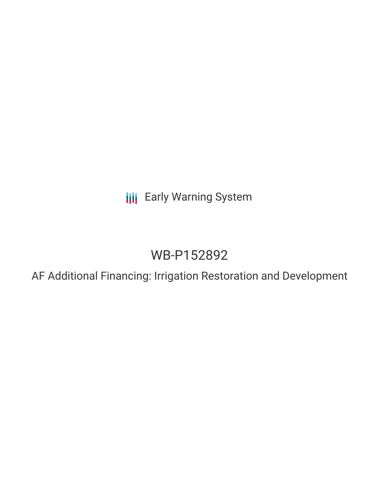**III** Early Warning System

## WB-P152892

AF Additional Financing: Irrigation Restoration and Development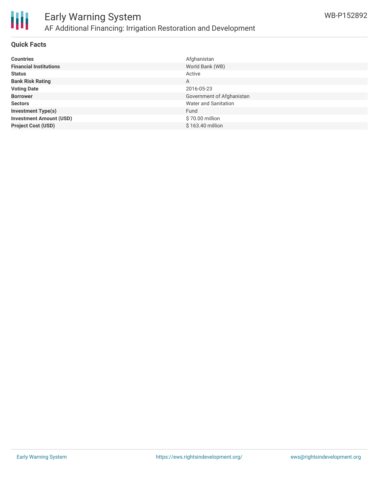

#### **Quick Facts**

| <b>Countries</b>               | Afghanistan                 |
|--------------------------------|-----------------------------|
| <b>Financial Institutions</b>  | World Bank (WB)             |
| <b>Status</b>                  | Active                      |
| <b>Bank Risk Rating</b>        | A                           |
| <b>Voting Date</b>             | 2016-05-23                  |
| <b>Borrower</b>                | Government of Afghanistan   |
| <b>Sectors</b>                 | <b>Water and Sanitation</b> |
| <b>Investment Type(s)</b>      | Fund                        |
| <b>Investment Amount (USD)</b> | \$70.00 million             |
| <b>Project Cost (USD)</b>      | \$163.40 million            |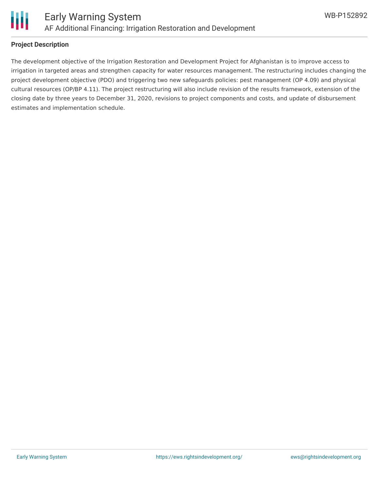

#### **Project Description**

The development objective of the Irrigation Restoration and Development Project for Afghanistan is to improve access to irrigation in targeted areas and strengthen capacity for water resources management. The restructuring includes changing the project development objective (PDO) and triggering two new safeguards policies: pest management (OP 4.09) and physical cultural resources (OP/BP 4.11). The project restructuring will also include revision of the results framework, extension of the closing date by three years to December 31, 2020, revisions to project components and costs, and update of disbursement estimates and implementation schedule.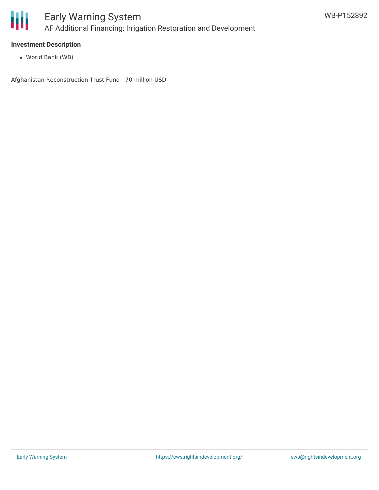

#### **Investment Description**

World Bank (WB)

Afghanistan Reconstruction Trust Fund - 70 million USD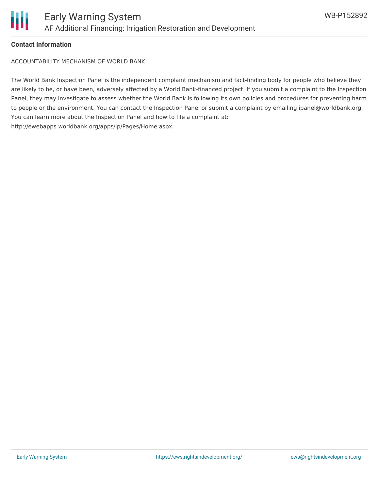

#### **Contact Information**

ACCOUNTABILITY MECHANISM OF WORLD BANK

The World Bank Inspection Panel is the independent complaint mechanism and fact-finding body for people who believe they are likely to be, or have been, adversely affected by a World Bank-financed project. If you submit a complaint to the Inspection Panel, they may investigate to assess whether the World Bank is following its own policies and procedures for preventing harm to people or the environment. You can contact the Inspection Panel or submit a complaint by emailing ipanel@worldbank.org. You can learn more about the Inspection Panel and how to file a complaint at: http://ewebapps.worldbank.org/apps/ip/Pages/Home.aspx.